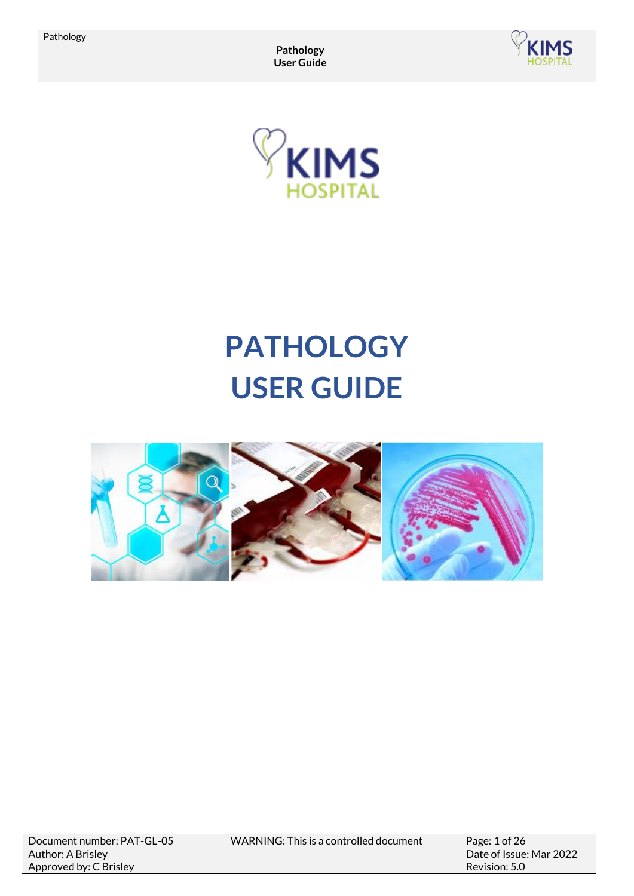



# **PATHOLOGY USER GUIDE**



WARNING: This is a controlled document Page: 1 of 26

Date of Issue: Mar 2022 Revision: 5.0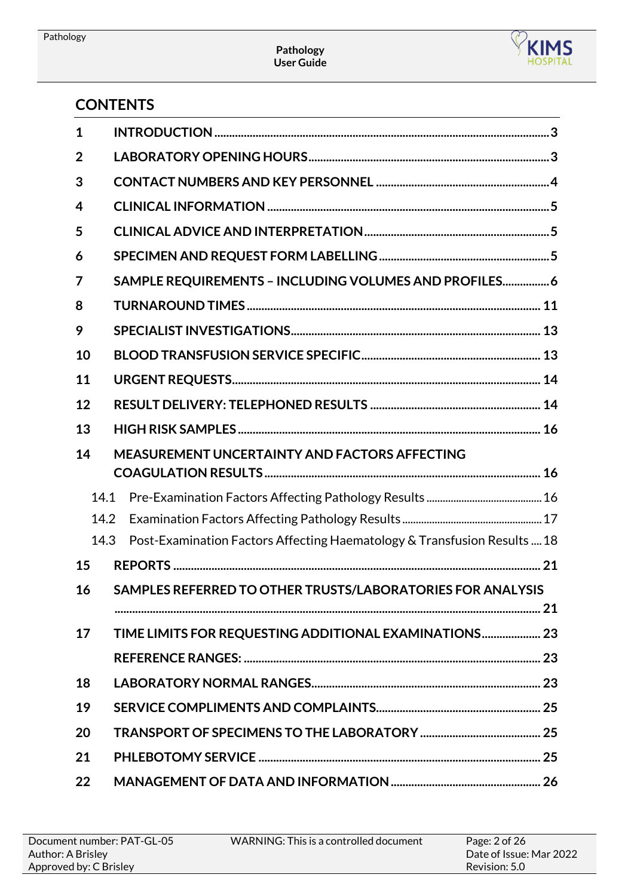

# **CONTENTS**

| $\mathbf 1$ |                                                                          |
|-------------|--------------------------------------------------------------------------|
| 2           |                                                                          |
| 3           |                                                                          |
| 4           |                                                                          |
| 5           |                                                                          |
| 6           |                                                                          |
| 7           | SAMPLE REQUIREMENTS - INCLUDING VOLUMES AND PROFILES 6                   |
| 8           |                                                                          |
| 9           |                                                                          |
| 10          |                                                                          |
| 11          |                                                                          |
| 12          |                                                                          |
| 13          |                                                                          |
| 14          | <b>MEASUREMENT UNCERTAINTY AND FACTORS AFFECTING</b>                     |
| 14.1        |                                                                          |
| 14.2        |                                                                          |
| 14.3        | Post-Examination Factors Affecting Haematology & Transfusion Results  18 |
| 15          |                                                                          |
| 16          | SAMPLES REFERRED TO OTHER TRUSTS/LABORATORIES FOR ANALYSIS               |
|             |                                                                          |
| 17          | TIME LIMITS FOR REQUESTING ADDITIONAL EXAMINATIONS 23                    |
|             |                                                                          |
| 18          |                                                                          |
| 19          |                                                                          |
| 20          |                                                                          |
| 21          |                                                                          |
| 22          |                                                                          |

| Document number: PAT-GL-05 | WARNING: This is a controlled document | Page: $2$ of $262$      |
|----------------------------|----------------------------------------|-------------------------|
| Author: A Brisley          |                                        | Date of Issue: Mar 2022 |
| Approved by: C Brisley     |                                        | Revision: 5.0           |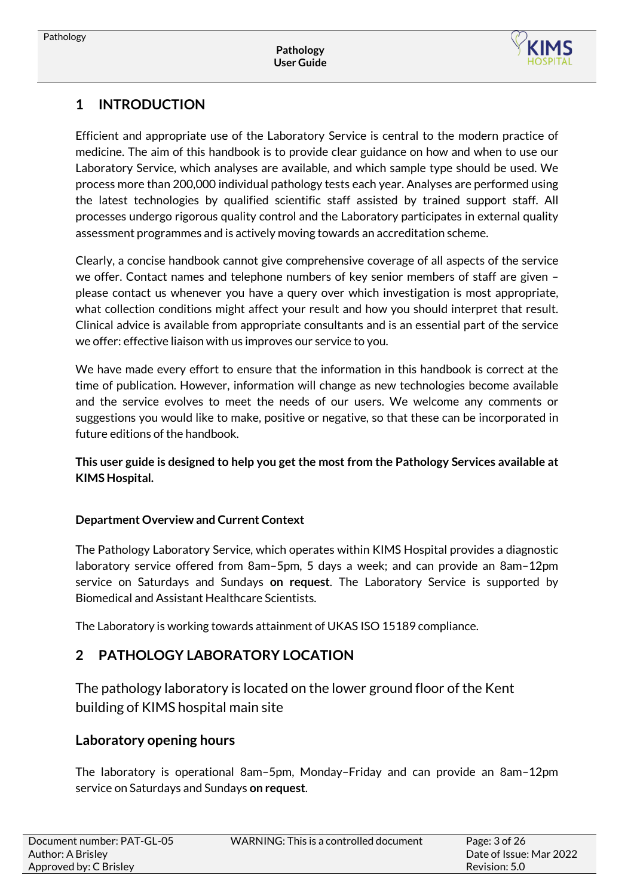

# <span id="page-2-0"></span>**1 INTRODUCTION**

Efficient and appropriate use of the Laboratory Service is central to the modern practice of medicine. The aim of this handbook is to provide clear guidance on how and when to use our Laboratory Service, which analyses are available, and which sample type should be used. We process more than 200,000 individual pathology tests each year. Analyses are performed using the latest technologies by qualified scientific staff assisted by trained support staff. All processes undergo rigorous quality control and the Laboratory participates in external quality assessment programmes and is actively moving towards an accreditation scheme.

Clearly, a concise handbook cannot give comprehensive coverage of all aspects of the service we offer. Contact names and telephone numbers of key senior members of staff are given – please contact us whenever you have a query over which investigation is most appropriate, what collection conditions might affect your result and how you should interpret that result. Clinical advice is available from appropriate consultants and is an essential part of the service we offer: effective liaison with us improves our service to you.

We have made every effort to ensure that the information in this handbook is correct at the time of publication. However, information will change as new technologies become available and the service evolves to meet the needs of our users. We welcome any comments or suggestions you would like to make, positive or negative, so that these can be incorporated in future editions of the handbook.

**This user guide is designed to help you get the most from the Pathology Services available at KIMS Hospital.** 

## **Department Overview and Current Context**

The Pathology Laboratory Service, which operates within KIMS Hospital provides a diagnostic laboratory service offered from 8am–5pm, 5 days a week; and can provide an 8am–12pm service on Saturdays and Sundays **on request**. The Laboratory Service is supported by Biomedical and Assistant Healthcare Scientists.

The Laboratory is working towards attainment of UKAS ISO 15189 compliance.

# **2 PATHOLOGY LABORATORY LOCATION**

<span id="page-2-1"></span>The pathology laboratory is located on the lower ground floor of the Kent building of KIMS hospital main site

## **Laboratory opening hours**

The laboratory is operational 8am–5pm, Monday–Friday and can provide an 8am–12pm service on Saturdays and Sundays **on request**.

| Document number: PAT-GL-05 | WARNING: This is a controlled document | Page: $3$ of 26         |
|----------------------------|----------------------------------------|-------------------------|
| Author: A Brisley          |                                        | Date of Issue: Mar 2022 |
| Approved by: C Brisley     |                                        | Revision: 5.0           |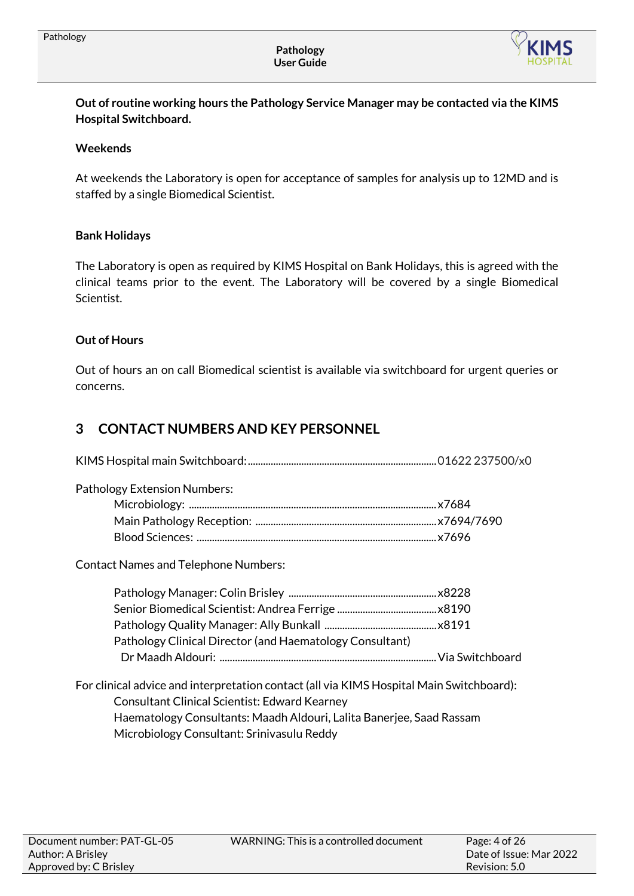

**Out of routine working hours the Pathology Service Manager may be contacted via the KIMS Hospital Switchboard.**

#### **Weekends**

At weekends the Laboratory is open for acceptance of samples for analysis up to 12MD and is staffed by a single Biomedical Scientist.

#### **Bank Holidays**

The Laboratory is open as required by KIMS Hospital on Bank Holidays, this is agreed with the clinical teams prior to the event. The Laboratory will be covered by a single Biomedical Scientist.

## **Out of Hours**

Out of hours an on call Biomedical scientist is available via switchboard for urgent queries or concerns.

## <span id="page-3-0"></span>**3 CONTACT NUMBERS AND KEY PERSONNEL**

| <b>Pathology Extension Numbers:</b>                      |  |
|----------------------------------------------------------|--|
|                                                          |  |
|                                                          |  |
|                                                          |  |
| <b>Contact Names and Telephone Numbers:</b>              |  |
|                                                          |  |
|                                                          |  |
|                                                          |  |
| Pathology Clinical Director (and Haematology Consultant) |  |

For clinical advice and interpretation contact(all via KIMS Hospital Main Switchboard): Consultant Clinical Scientist: Edward Kearney Haematology Consultants: Maadh Aldouri, Lalita Banerjee, Saad Rassam Microbiology Consultant: Srinivasulu Reddy

Dr Maadh Aldouri: .....................................................................................Via Switchboard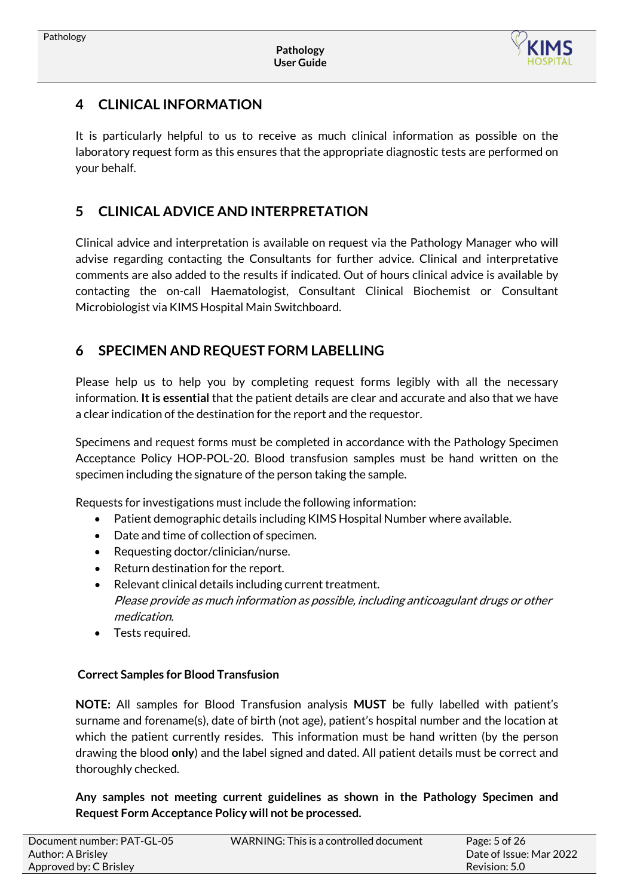

## <span id="page-4-0"></span>**4 CLINICAL INFORMATION**

It is particularly helpful to us to receive as much clinical information as possible on the laboratory request form as this ensures that the appropriate diagnostic tests are performed on your behalf.

## <span id="page-4-1"></span>**5 CLINICAL ADVICE AND INTERPRETATION**

Clinical advice and interpretation is available on request via the Pathology Manager who will advise regarding contacting the Consultants for further advice. Clinical and interpretative comments are also added to the results if indicated. Out of hours clinical advice is available by contacting the on-call Haematologist, Consultant Clinical Biochemist or Consultant Microbiologist via KIMS Hospital Main Switchboard.

## <span id="page-4-2"></span>**6 SPECIMEN AND REQUEST FORM LABELLING**

Please help us to help you by completing request forms legibly with all the necessary information. **It is essential** that the patient details are clear and accurate and also that we have a clear indication of the destination for the report and the requestor.

Specimens and request forms must be completed in accordance with the Pathology Specimen Acceptance Policy HOP-POL-20. Blood transfusion samples must be hand written on the specimen including the signature of the person taking the sample.

Requests for investigations must include the following information:

- Patient demographic details including KIMS Hospital Number where available.
- Date and time of collection of specimen.
- Requesting doctor/clinician/nurse.
- Return destination for the report.
- Relevant clinical details including current treatment. Please provide as much information as possible, including anticoagulant drugs or other medication.
- Tests required.

## **Correct Samples for Blood Transfusion**

**NOTE:** All samples for Blood Transfusion analysis **MUST** be fully labelled with patient's surname and forename(s), date of birth (not age), patient's hospital number and the location at which the patient currently resides. This information must be hand written (by the person drawing the blood **only**) and the label signed and dated. All patient details must be correct and thoroughly checked.

**Any samples not meeting current guidelines as shown in the Pathology Specimen and Request Form Acceptance Policy will not be processed.** 

| Document number: PAT-GL-05 | WARNING: This is a controlled document | Page: 5 of 26           |
|----------------------------|----------------------------------------|-------------------------|
| Author: A Brisley          |                                        | Date of Issue: Mar 2022 |
| Approved by: C Brisley     |                                        | Revision: 5.0           |
|                            |                                        |                         |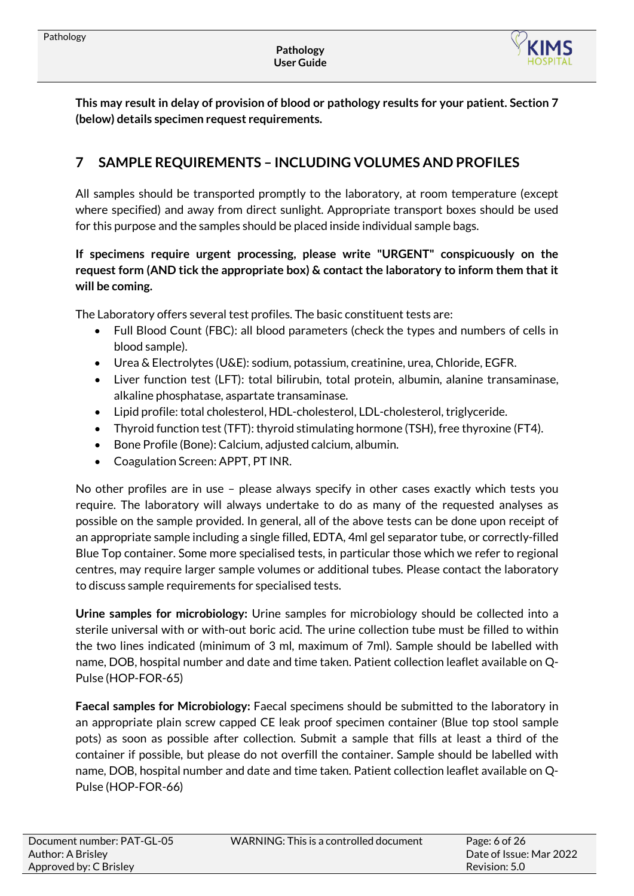

**This may result in delay of provision of blood or pathology results for your patient. Section 7 (below) details specimen request requirements.**

# <span id="page-5-0"></span>**7 SAMPLE REQUIREMENTS – INCLUDING VOLUMES AND PROFILES**

All samples should be transported promptly to the laboratory, at room temperature (except where specified) and away from direct sunlight. Appropriate transport boxes should be used for this purpose and the samples should be placed inside individual sample bags.

## **If specimens require urgent processing, please write "URGENT" conspicuously on the request form (AND tick the appropriate box) & contact the laboratory to inform them that it will be coming.**

The Laboratory offers several test profiles. The basic constituent tests are:

- Full Blood Count (FBC): all blood parameters (check the types and numbers of cells in blood sample).
- Urea & Electrolytes (U&E): sodium, potassium, creatinine, urea, Chloride, EGFR.
- Liver function test (LFT): total bilirubin, total protein, albumin, alanine transaminase, alkaline phosphatase, aspartate transaminase.
- Lipid profile: total cholesterol, HDL-cholesterol, LDL-cholesterol, triglyceride.
- Thyroid function test (TFT): thyroid stimulating hormone (TSH), free thyroxine (FT4).
- Bone Profile (Bone): Calcium, adjusted calcium, albumin.
- Coagulation Screen: APPT, PT INR.

No other profiles are in use – please always specify in other cases exactly which tests you require. The laboratory will always undertake to do as many of the requested analyses as possible on the sample provided. In general, all of the above tests can be done upon receipt of an appropriate sample including a single filled, EDTA, 4ml gel separator tube, or correctly-filled Blue Top container. Some more specialised tests, in particular those which we refer to regional centres, may require larger sample volumes or additional tubes. Please contact the laboratory to discuss sample requirements for specialised tests.

**Urine samples for microbiology:** Urine samples for microbiology should be collected into a sterile universal with or with-out boric acid. The urine collection tube must be filled to within the two lines indicated (minimum of 3 ml, maximum of 7ml). Sample should be labelled with name, DOB, hospital number and date and time taken. Patient collection leaflet available on Q-Pulse (HOP-FOR-65)

**Faecal samples for Microbiology:** Faecal specimens should be submitted to the laboratory in an appropriate plain screw capped CE leak proof specimen container (Blue top stool sample pots) as soon as possible after collection. Submit a sample that fills at least a third of the container if possible, but please do not overfill the container. Sample should be labelled with name, DOB, hospital number and date and time taken. Patient collection leaflet available on Q-Pulse (HOP-FOR-66)

| Document number: PAT-GL-05 | WARNING: This is a controlled document | Page: $6$ of $26$       |
|----------------------------|----------------------------------------|-------------------------|
| Author: A Brisley          |                                        | Date of Issue: Mar 2022 |
| Approved by: C Brisley     |                                        | Revision: 5.0           |
|                            |                                        |                         |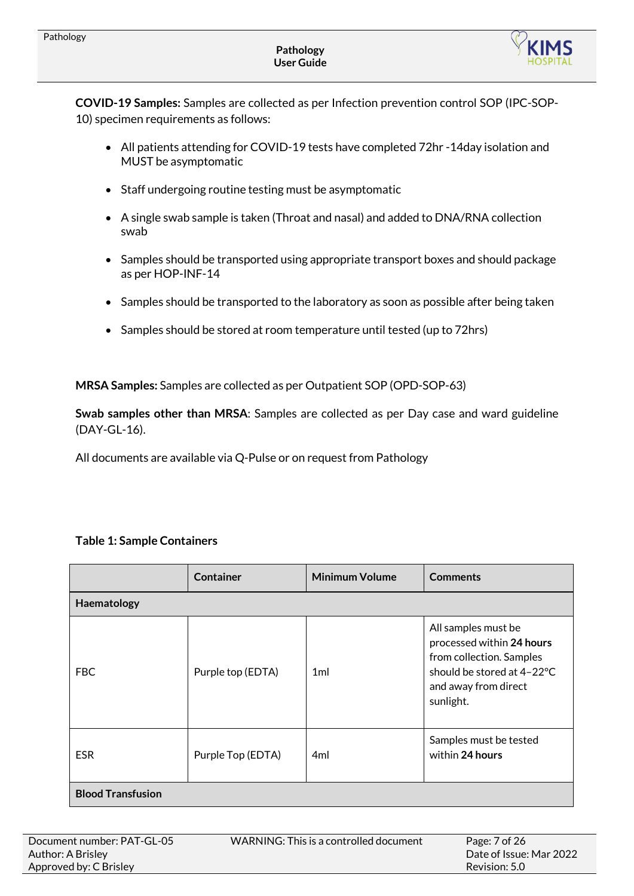

**COVID-19 Samples:** Samples are collected as per Infection prevention control SOP (IPC-SOP-10) specimen requirements as follows:

- All patients attending for COVID-19 tests have completed 72hr -14day isolation and MUST be asymptomatic
- Staff undergoing routine testing must be asymptomatic
- A single swab sample is taken (Throat and nasal) and added to DNA/RNA collection swab
- Samples should be transported using appropriate transport boxes and should package as per HOP-INF-14
- Samples should be transported to the laboratory as soon as possible after being taken
- Samples should be stored at room temperature until tested (up to 72hrs)

**MRSA Samples:** Samples are collected as per Outpatient SOP (OPD-SOP-63)

**Swab samples other than MRSA**: Samples are collected as per Day case and ward guideline (DAY-GL-16).

All documents are available via Q-Pulse or on request from Pathology

#### **Table 1: Sample Containers**

|                          | Container         | <b>Minimum Volume</b> | <b>Comments</b>                                                                                                                                 |
|--------------------------|-------------------|-----------------------|-------------------------------------------------------------------------------------------------------------------------------------------------|
| Haematology              |                   |                       |                                                                                                                                                 |
| FBC                      | Purple top (EDTA) | 1 <sub>m</sub>        | All samples must be<br>processed within 24 hours<br>from collection. Samples<br>should be stored at 4-22°C<br>and away from direct<br>sunlight. |
| <b>ESR</b>               | Purple Top (EDTA) | 4ml                   | Samples must be tested<br>within 24 hours                                                                                                       |
| <b>Blood Transfusion</b> |                   |                       |                                                                                                                                                 |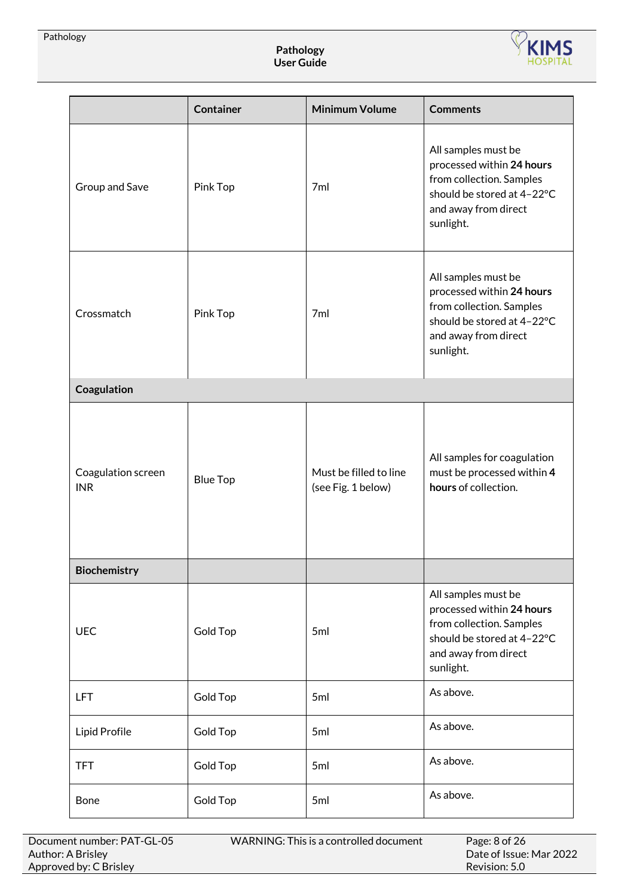

|                                  | <b>Container</b> | <b>Minimum Volume</b>                        | <b>Comments</b>                                                                                                                                 |
|----------------------------------|------------------|----------------------------------------------|-------------------------------------------------------------------------------------------------------------------------------------------------|
| Group and Save                   | Pink Top         | 7 <sub>ml</sub>                              | All samples must be<br>processed within 24 hours<br>from collection. Samples<br>should be stored at 4-22°C<br>and away from direct<br>sunlight. |
| Crossmatch                       | Pink Top         | 7ml                                          | All samples must be<br>processed within 24 hours<br>from collection. Samples<br>should be stored at 4-22°C<br>and away from direct<br>sunlight. |
| Coagulation                      |                  |                                              |                                                                                                                                                 |
| Coagulation screen<br><b>INR</b> | <b>Blue Top</b>  | Must be filled to line<br>(see Fig. 1 below) | All samples for coagulation<br>must be processed within 4<br>hours of collection.                                                               |
| Biochemistry                     |                  |                                              |                                                                                                                                                 |
| <b>UEC</b>                       | <b>Gold Top</b>  | 5ml                                          | All samples must be<br>processed within 24 hours<br>from collection. Samples<br>should be stored at 4-22°C<br>and away from direct<br>sunlight. |
| <b>LFT</b>                       | Gold Top         | 5ml                                          | As above.                                                                                                                                       |
| Lipid Profile                    | <b>Gold Top</b>  | 5ml                                          | As above.                                                                                                                                       |
| <b>TFT</b>                       | <b>Gold Top</b>  | 5ml                                          | As above.                                                                                                                                       |
| Bone                             | Gold Top         | 5ml                                          | As above.                                                                                                                                       |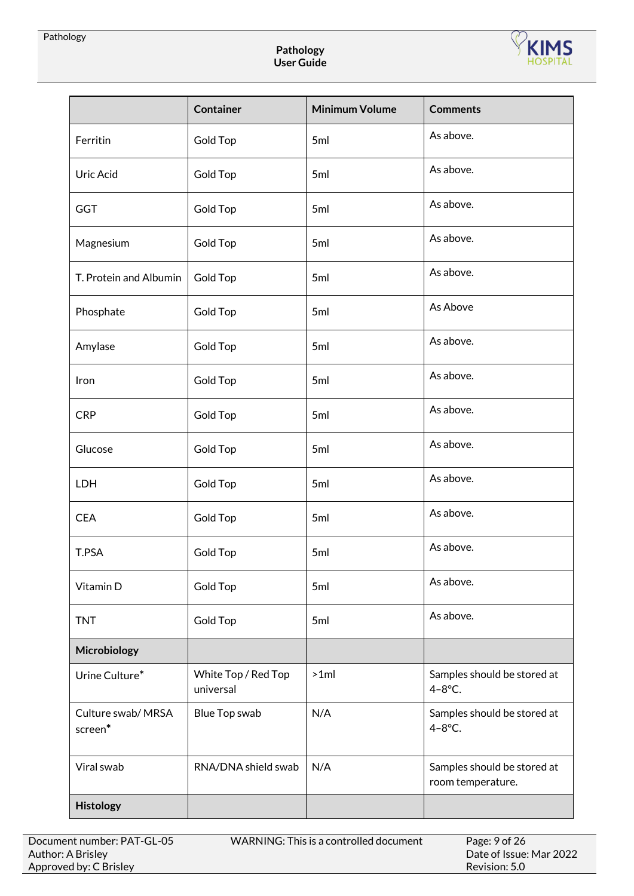

|                                                            | <b>Container</b>                 | <b>Minimum Volume</b> | <b>Comments</b>                                  |
|------------------------------------------------------------|----------------------------------|-----------------------|--------------------------------------------------|
| Ferritin<br>Gold Top                                       |                                  | 5ml                   | As above.                                        |
| Uric Acid                                                  | Gold Top                         | 5ml                   | As above.                                        |
| <b>GGT</b><br>Gold Top                                     |                                  | 5ml                   | As above.                                        |
| Magnesium                                                  | Gold Top                         | 5ml                   | As above.                                        |
| T. Protein and Albumin                                     | Gold Top                         | 5ml                   | As above.                                        |
| Phosphate                                                  | <b>Gold Top</b>                  | 5ml                   | As Above                                         |
| Amylase                                                    | Gold Top                         | 5ml                   | As above.                                        |
| Iron                                                       | <b>Gold Top</b>                  | 5ml                   | As above.                                        |
| <b>CRP</b>                                                 | Gold Top                         | 5ml                   | As above.                                        |
| Glucose                                                    | Gold Top                         | 5ml                   | As above.                                        |
| LDH<br>Gold Top                                            |                                  | 5ml                   | As above.                                        |
| <b>CEA</b><br>Gold Top                                     |                                  | 5ml                   | As above.                                        |
| T.PSA<br><b>Gold Top</b>                                   |                                  | 5ml                   | As above.                                        |
| Vitamin D                                                  | Gold Top                         | 5ml                   | As above.                                        |
| <b>TNT</b>                                                 | Gold Top                         | 5ml                   | As above.                                        |
| Microbiology                                               |                                  |                       |                                                  |
| Urine Culture*                                             | White Top / Red Top<br>universal | $>1$ ml               | Samples should be stored at<br>$4 - 8$ °C.       |
| Culture swab/ MRSA<br>Blue Top swab<br>screen <sup>*</sup> |                                  | N/A                   | Samples should be stored at<br>$4-8$ °C.         |
| Viral swab                                                 | RNA/DNA shield swab              | N/A                   | Samples should be stored at<br>room temperature. |
| Histology                                                  |                                  |                       |                                                  |

WARNING: This is a controlled document

Date of Issue: Mar 2022 Revision: 5.0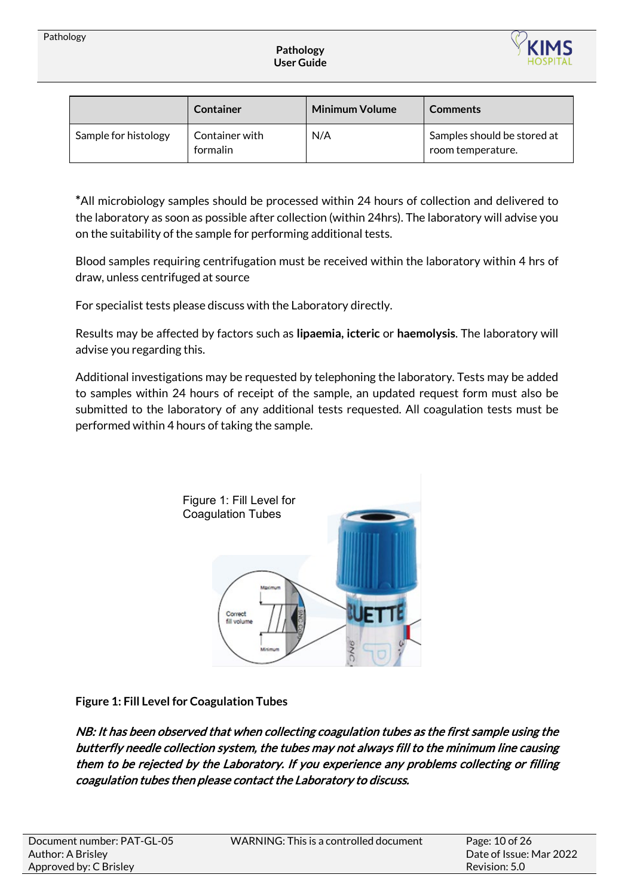

|                      | <b>Container</b>           | <b>Minimum Volume</b> | <b>Comments</b>                                  |
|----------------------|----------------------------|-----------------------|--------------------------------------------------|
| Sample for histology | Container with<br>formalin | N/A                   | Samples should be stored at<br>room temperature. |

**\***All microbiology samples should be processed within 24 hours of collection and delivered to the laboratory as soon as possible after collection (within 24hrs). The laboratory will advise you on the suitability of the sample for performing additional tests.

Blood samples requiring centrifugation must be received within the laboratory within 4 hrs of draw, unless centrifuged at source

For specialist tests please discuss with the Laboratory directly.

Results may be affected by factors such as **lipaemia, icteric** or **haemolysis**. The laboratory will advise you regarding this.

Additional investigations may be requested by telephoning the laboratory. Tests may be added to samples within 24 hours of receipt of the sample, an updated request form must also be submitted to the laboratory of any additional tests requested. All coagulation tests must be performed within 4 hours of taking the sample.



**Figure 1: Fill Level for Coagulation Tubes**

NB: It has been observed that when collecting coagulation tubes as the first sample using the butterfly needle collection system, the tubes may not always fill to the minimum line causing them to be rejected by the Laboratory. If you experience any problems collecting or filling coagulation tubes then please contact the Laboratory to discuss.

| Document number: PAT-GL-05 | WARNING: This is a controlled document | Page: 10 of 26          |
|----------------------------|----------------------------------------|-------------------------|
| Author: A Brisley          |                                        | Date of Issue: Mar 2022 |
| Approved by: C Brisley     |                                        | $\,$ Revision: 5.0 $\,$ |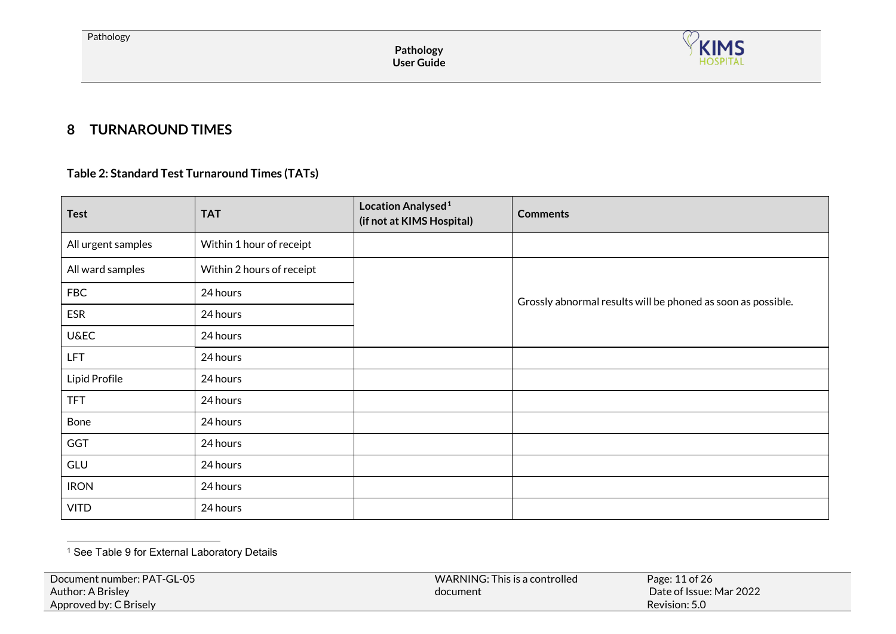<span id="page-10-1"></span>

# **8 TURNAROUND TIMES**

## **Table 2: Standard Test Turnaround Times (TATs)**

<span id="page-10-0"></span>

| <b>Test</b>        | <b>TAT</b>                | Location Analysed <sup>1</sup><br>(if not at KIMS Hospital) | <b>Comments</b>                                              |
|--------------------|---------------------------|-------------------------------------------------------------|--------------------------------------------------------------|
| All urgent samples | Within 1 hour of receipt  |                                                             |                                                              |
| All ward samples   | Within 2 hours of receipt |                                                             |                                                              |
| <b>FBC</b>         | 24 hours                  |                                                             | Grossly abnormal results will be phoned as soon as possible. |
| <b>ESR</b>         | 24 hours                  |                                                             |                                                              |
| <b>U&amp;EC</b>    | 24 hours                  |                                                             |                                                              |
| <b>LFT</b>         | 24 hours                  |                                                             |                                                              |
| Lipid Profile      | 24 hours                  |                                                             |                                                              |
| <b>TFT</b>         | 24 hours                  |                                                             |                                                              |
| Bone               | 24 hours                  |                                                             |                                                              |
| GGT                | 24 hours                  |                                                             |                                                              |
| GLU                | 24 hours                  |                                                             |                                                              |
| <b>IRON</b>        | 24 hours                  |                                                             |                                                              |
| <b>VITD</b>        | 24 hours                  |                                                             |                                                              |

 $\ddot{\phantom{a}}$ <sup>1</sup> See Table 9 for External Laboratory Details

| Date of Issue: Mar 2022<br>Author: A Brisley<br>document<br>Revision: 5.0<br>Approved by: C Brisely | Document number: PAT-GL-05 | WARNING: This is a controlled | Page: 11 of 26 |  |
|-----------------------------------------------------------------------------------------------------|----------------------------|-------------------------------|----------------|--|
|-----------------------------------------------------------------------------------------------------|----------------------------|-------------------------------|----------------|--|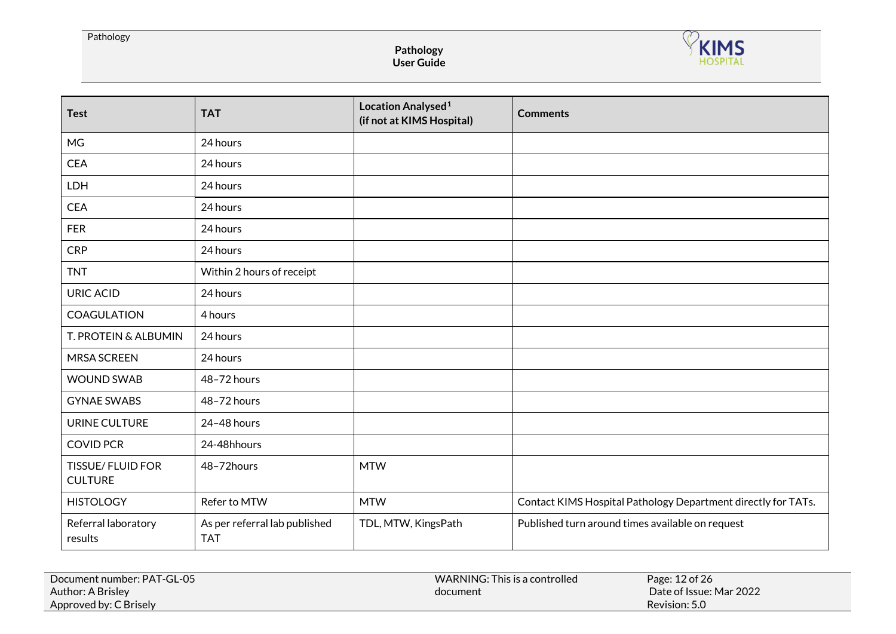#### Pathology

**Pathology User Guide**



| <b>Test</b>                               | <b>TAT</b>                                  | Location Analysed <sup>1</sup><br>(if not at KIMS Hospital) | <b>Comments</b>                                               |
|-------------------------------------------|---------------------------------------------|-------------------------------------------------------------|---------------------------------------------------------------|
| <b>MG</b>                                 | 24 hours                                    |                                                             |                                                               |
| <b>CEA</b>                                | 24 hours                                    |                                                             |                                                               |
| LDH                                       | 24 hours                                    |                                                             |                                                               |
| <b>CEA</b>                                | 24 hours                                    |                                                             |                                                               |
| <b>FER</b>                                | 24 hours                                    |                                                             |                                                               |
| <b>CRP</b>                                | 24 hours                                    |                                                             |                                                               |
| <b>TNT</b>                                | Within 2 hours of receipt                   |                                                             |                                                               |
| <b>URIC ACID</b>                          | 24 hours                                    |                                                             |                                                               |
| <b>COAGULATION</b>                        | 4 hours                                     |                                                             |                                                               |
| T. PROTEIN & ALBUMIN                      | 24 hours                                    |                                                             |                                                               |
| <b>MRSA SCREEN</b>                        | 24 hours                                    |                                                             |                                                               |
| <b>WOUND SWAB</b>                         | 48-72 hours                                 |                                                             |                                                               |
| <b>GYNAE SWABS</b>                        | 48-72 hours                                 |                                                             |                                                               |
| URINE CULTURE                             | 24-48 hours                                 |                                                             |                                                               |
| <b>COVID PCR</b>                          | 24-48hhours                                 |                                                             |                                                               |
| <b>TISSUE/FLUID FOR</b><br><b>CULTURE</b> | 48-72hours                                  | <b>MTW</b>                                                  |                                                               |
| <b>HISTOLOGY</b>                          | Refer to MTW                                | <b>MTW</b>                                                  | Contact KIMS Hospital Pathology Department directly for TATs. |
| Referral laboratory<br>results            | As per referral lab published<br><b>TAT</b> | TDL, MTW, KingsPath                                         | Published turn around times available on request              |

| Document number: PAT-GL-05 | WARNING: This is a controlled | Page: 12 of 26          |
|----------------------------|-------------------------------|-------------------------|
| Author: A Brisley          | document                      | Date of Issue: Mar 2022 |
| Approved by: C Brisely     |                               | Revision: 5.0           |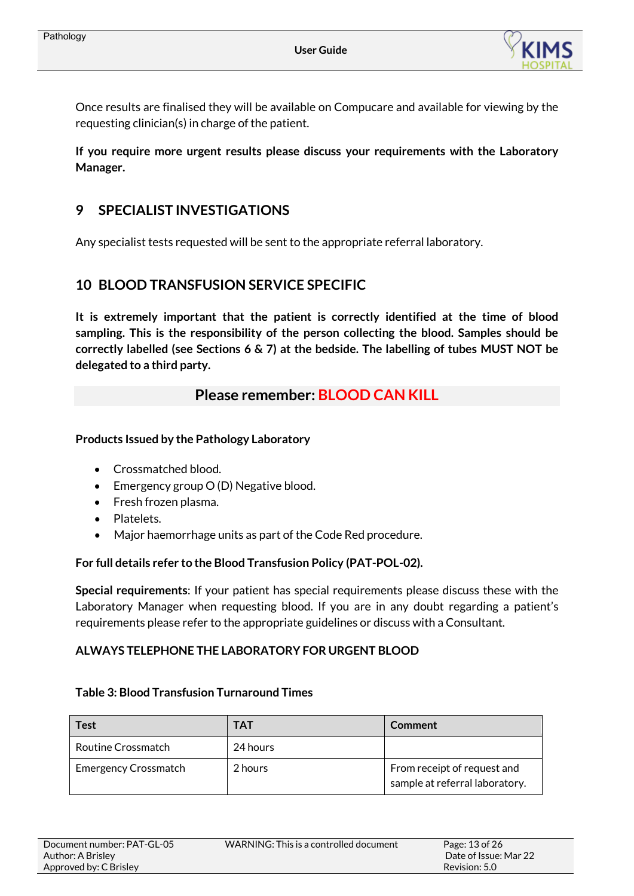

Once results are finalised they will be available on Compucare and available for viewing by the requesting clinician(s) in charge of the patient.

**If you require more urgent results please discuss your requirements with the Laboratory Manager.** 

# <span id="page-12-0"></span>**9 SPECIALIST INVESTIGATIONS**

Any specialist tests requested will be sent to the appropriate referral laboratory.

## <span id="page-12-1"></span>**10 BLOOD TRANSFUSION SERVICE SPECIFIC**

**It is extremely important that the patient is correctly identified at the time of blood sampling. This is the responsibility of the person collecting the blood. Samples should be correctly labelled (see Sections 6 & 7) at the bedside. The labelling of tubes MUST NOT be delegated to a third party.**

## **Please remember: BLOOD CAN KILL**

#### **Products Issued by the Pathology Laboratory**

- Crossmatched blood.
- Emergency group O (D) Negative blood.
- Fresh frozen plasma.
- Platelets.
- Major haemorrhage units as part of the Code Red procedure.

#### **For full details refer to the Blood Transfusion Policy (PAT-POL-02).**

**Special requirements**: If your patient has special requirements please discuss these with the Laboratory Manager when requesting blood. If you are in any doubt regarding a patient's requirements please refer to the appropriate guidelines or discuss with a Consultant.

## **ALWAYS TELEPHONE THE LABORATORY FOR URGENT BLOOD**

#### **Table 3: Blood Transfusion Turnaround Times**

| <b>Test</b>                 | <b>TAT</b> | <b>Comment</b>                                                |
|-----------------------------|------------|---------------------------------------------------------------|
| Routine Crossmatch          | 24 hours   |                                                               |
| <b>Emergency Crossmatch</b> | 2 hours    | From receipt of request and<br>sample at referral laboratory. |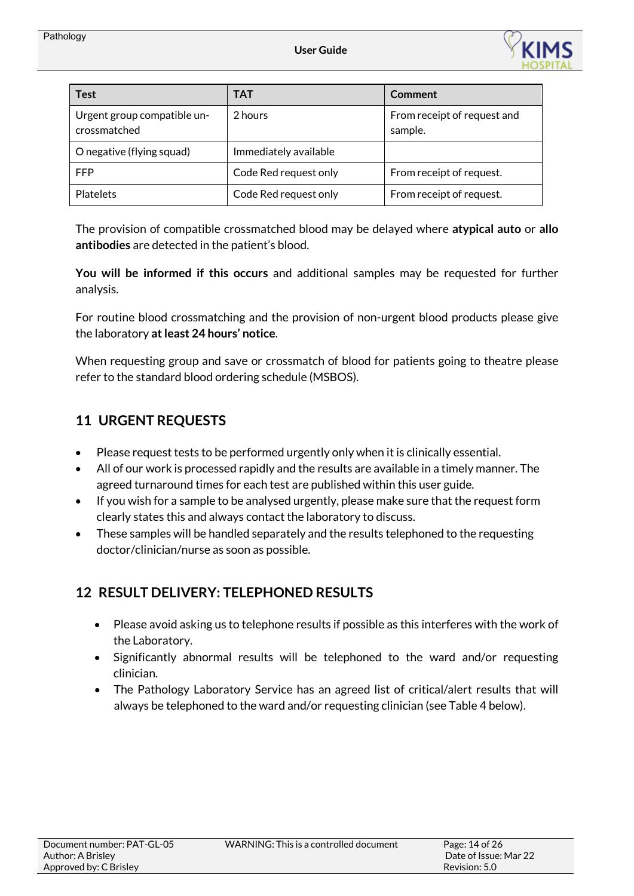

| <b>Test</b>                                 | TAT                   | Comment                                |
|---------------------------------------------|-----------------------|----------------------------------------|
| Urgent group compatible un-<br>crossmatched | 2 hours               | From receipt of request and<br>sample. |
| O negative (flying squad)                   | Immediately available |                                        |
| FFP                                         | Code Red request only | From receipt of request.               |
| <b>Platelets</b>                            | Code Red request only | From receipt of request.               |

The provision of compatible crossmatched blood may be delayed where **atypical auto** or **allo antibodies** are detected in the patient's blood.

**You will be informed if this occurs** and additional samples may be requested for further analysis.

For routine blood crossmatching and the provision of non-urgent blood products please give the laboratory **at least 24 hours' notice**.

When requesting group and save or crossmatch of blood for patients going to theatre please refer to the standard blood ordering schedule (MSBOS).

# <span id="page-13-0"></span>**11 URGENT REQUESTS**

- Please request tests to be performed urgently only when it is clinically essential.
- All of our work is processed rapidly and the results are available in a timely manner. The agreed turnaround times for each test are published within this user guide.
- If you wish for a sample to be analysed urgently, please make sure that the request form clearly states this and always contact the laboratory to discuss.
- These samples will be handled separately and the results telephoned to the requesting doctor/clinician/nurse as soon as possible.

# <span id="page-13-1"></span>**12 RESULT DELIVERY: TELEPHONED RESULTS**

- Please avoid asking us to telephone results if possible as this interferes with the work of the Laboratory.
- Significantly abnormal results will be telephoned to the ward and/or requesting clinician.
- The Pathology Laboratory Service has an agreed list of critical/alert results that will always be telephoned to the ward and/or requesting clinician (see Table 4 below).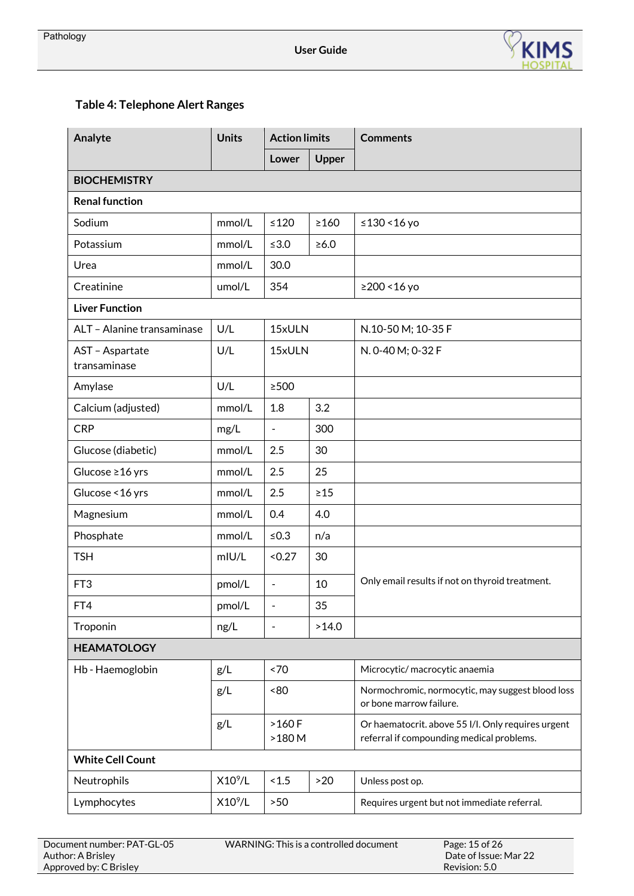

# **Table 4: Telephone Alert Ranges**

| Analyte                         | <b>Units</b>      | <b>Action limits</b> |              | <b>Comments</b>                                                                                 |
|---------------------------------|-------------------|----------------------|--------------|-------------------------------------------------------------------------------------------------|
|                                 |                   | Lower                | <b>Upper</b> |                                                                                                 |
| <b>BIOCHEMISTRY</b>             |                   |                      |              |                                                                                                 |
| <b>Renal function</b>           |                   |                      |              |                                                                                                 |
| Sodium                          | mmol/L            | $\leq 120$           | $\geq 160$   | ≤130 <16 yo                                                                                     |
| Potassium                       | mmol/L            | $\leq 3.0$           | $\geq 6.0$   |                                                                                                 |
| Urea                            | mmol/L            | 30.0                 |              |                                                                                                 |
| Creatinine                      | umol/L            | 354                  |              | ≥200 <16 yo                                                                                     |
| <b>Liver Function</b>           |                   |                      |              |                                                                                                 |
| ALT - Alanine transaminase      | U/L               | 15xULN               |              | N.10-50 M; 10-35 F                                                                              |
| AST - Aspartate<br>transaminase | U/L               | 15xULN               |              | N. 0-40 M; 0-32 F                                                                               |
| Amylase                         | U/L               | $\geq$ 500           |              |                                                                                                 |
| Calcium (adjusted)              | mmol/L            | 1.8                  | 3.2          |                                                                                                 |
| <b>CRP</b>                      | mg/L              | $\frac{1}{2}$        | 300          |                                                                                                 |
| Glucose (diabetic)              | mmol/L            | 2.5                  | 30           |                                                                                                 |
| Glucose ≥16 yrs                 | mmol/L            | 2.5                  | 25           |                                                                                                 |
| Glucose < 16 yrs                | mmol/L            | 2.5                  | $\geq 15$    |                                                                                                 |
| Magnesium                       | mmol/L            | 0.4                  | 4.0          |                                                                                                 |
| Phosphate                       | mmol/L            | $≤0.3$               | n/a          |                                                                                                 |
| <b>TSH</b>                      | m <sub>U</sub> /L | < 0.27               | 30           |                                                                                                 |
| FT <sub>3</sub>                 | pmol/L            | $\frac{1}{2}$        | 10           | Only email results if not on thyroid treatment.                                                 |
| FT4                             | pmol/L            |                      | 35           |                                                                                                 |
| Troponin                        | ng/L              | L,                   | >14.0        |                                                                                                 |
| <b>HEAMATOLOGY</b>              |                   |                      |              |                                                                                                 |
| Hb - Haemoglobin                | g/L               | ~5                   |              | Microcytic/macrocytic anaemia                                                                   |
|                                 | g/L               | <80                  |              | Normochromic, normocytic, may suggest blood loss<br>or bone marrow failure.                     |
|                                 | g/L               | $>160 F$<br>$>180$ M |              | Or haematocrit. above 55 I/I. Only requires urgent<br>referral if compounding medical problems. |
| <b>White Cell Count</b>         |                   |                      |              |                                                                                                 |
| Neutrophils                     | $X10^9/L$         | 1.5                  | >20          | Unless post op.                                                                                 |
| Lymphocytes                     | $X10^9/L$         | $>50$                |              | Requires urgent but not immediate referral.                                                     |

| Document number: PAT-GL-05 | WARNING: This is a controlled document | Page: 15 of 26        |
|----------------------------|----------------------------------------|-----------------------|
| Author: A Brisley          |                                        | Date of Issue: Mar 22 |
| Approved by: C Brisley     |                                        | Revision: 5.0         |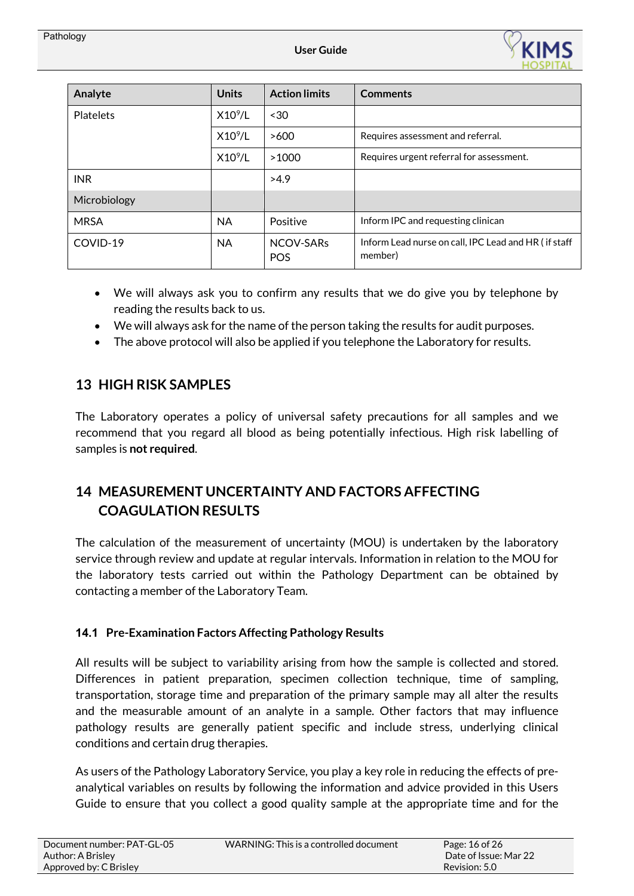

| Analyte          | <b>Units</b>        | <b>Action limits</b>    | <b>Comments</b>                                                 |
|------------------|---------------------|-------------------------|-----------------------------------------------------------------|
| <b>Platelets</b> | $X10^9/L$           | ~50                     |                                                                 |
|                  | $X10^9/L$           | >600                    | Requires assessment and referral.                               |
|                  | X10 <sup>9</sup> /L | >1000                   | Requires urgent referral for assessment.                        |
| <b>INR</b>       |                     | >4.9                    |                                                                 |
| Microbiology     |                     |                         |                                                                 |
| <b>MRSA</b>      | <b>NA</b>           | Positive                | Inform IPC and requesting clinican                              |
| COVID-19         | <b>NA</b>           | NCOV-SARS<br><b>POS</b> | Inform Lead nurse on call, IPC Lead and HR (if staff<br>member) |

- We will always ask you to confirm any results that we do give you by telephone by reading the results back to us.
- We will always ask for the name of the person taking the results for audit purposes.
- The above protocol will also be applied if you telephone the Laboratory for results.

# <span id="page-15-0"></span>**13 HIGH RISK SAMPLES**

The Laboratory operates a policy of universal safety precautions for all samples and we recommend that you regard all blood as being potentially infectious. High risk labelling of samples is **not required**.

# <span id="page-15-1"></span>**14 MEASUREMENT UNCERTAINTY AND FACTORS AFFECTING COAGULATION RESULTS**

The calculation of the measurement of uncertainty (MOU) is undertaken by the laboratory service through review and update at regular intervals. Information in relation to the MOU for the laboratory tests carried out within the Pathology Department can be obtained by contacting a member of the Laboratory Team.

## <span id="page-15-2"></span>**14.1 Pre-Examination Factors Affecting Pathology Results**

All results will be subject to variability arising from how the sample is collected and stored. Differences in patient preparation, specimen collection technique, time of sampling, transportation, storage time and preparation of the primary sample may all alter the results and the measurable amount of an analyte in a sample. Other factors that may influence pathology results are generally patient specific and include stress, underlying clinical conditions and certain drug therapies.

As users of the Pathology Laboratory Service, you play a key role in reducing the effects of preanalytical variables on results by following the information and advice provided in this Users Guide to ensure that you collect a good quality sample at the appropriate time and for the

| Document number: PAT-GL-05 | WARNING: This is a controlled document | Page: $16$ of $261$   |
|----------------------------|----------------------------------------|-----------------------|
| Author: A Brisley          |                                        | Date of Issue: Mar 22 |
| Approved by: C Brisley     |                                        | Revision: 5.0         |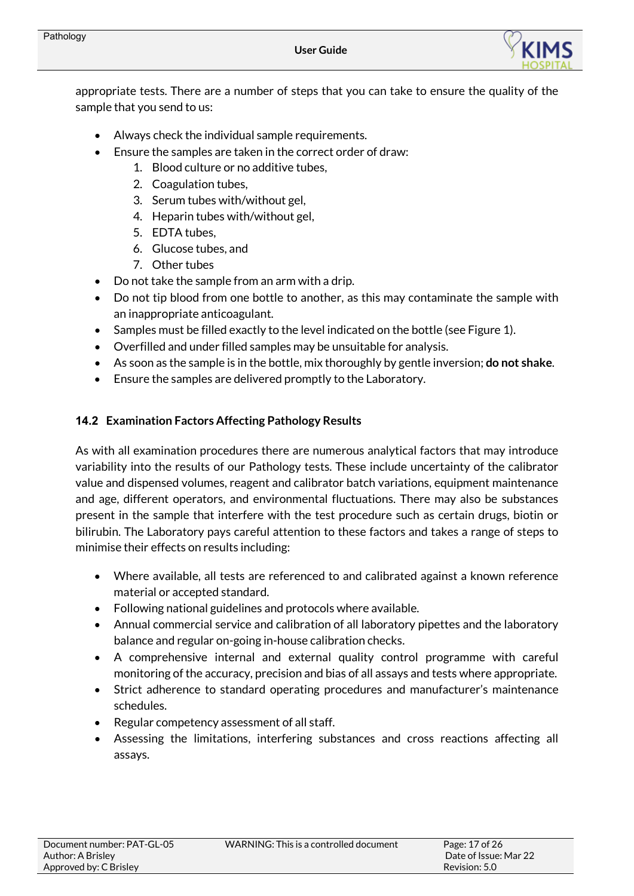

appropriate tests. There are a number of steps that you can take to ensure the quality of the sample that you send to us:

- Always check the individual sample requirements.
- Ensure the samples are taken in the correct order of draw:
	- 1. Blood culture or no additive tubes,
	- 2. Coagulation tubes,
	- 3. Serum tubes with/without gel,
	- 4. Heparin tubes with/without gel,
	- 5. EDTA tubes,
	- 6. Glucose tubes, and
	- 7. Other tubes
- Do not take the sample from an arm with a drip.
- Do not tip blood from one bottle to another, as this may contaminate the sample with an inappropriate anticoagulant.
- Samples must be filled exactly to the level indicated on the bottle (see Figure 1).
- Overfilled and under filled samples may be unsuitable for analysis.
- As soon as the sample is in the bottle, mix thoroughly by gentle inversion; **do not shake**.
- Ensure the samples are delivered promptly to the Laboratory.

#### <span id="page-16-0"></span>**14.2 Examination Factors Affecting Pathology Results**

As with all examination procedures there are numerous analytical factors that may introduce variability into the results of our Pathology tests. These include uncertainty of the calibrator value and dispensed volumes, reagent and calibrator batch variations, equipment maintenance and age, different operators, and environmental fluctuations. There may also be substances present in the sample that interfere with the test procedure such as certain drugs, biotin or bilirubin. The Laboratory pays careful attention to these factors and takes a range of steps to minimise their effects on results including:

- Where available, all tests are referenced to and calibrated against a known reference material or accepted standard.
- Following national guidelines and protocols where available.
- Annual commercial service and calibration of all laboratory pipettes and the laboratory balance and regular on-going in-house calibration checks.
- A comprehensive internal and external quality control programme with careful monitoring of the accuracy, precision and bias of all assays and tests where appropriate.
- Strict adherence to standard operating procedures and manufacturer's maintenance schedules.
- Regular competency assessment of all staff.
- Assessing the limitations, interfering substances and cross reactions affecting all assays.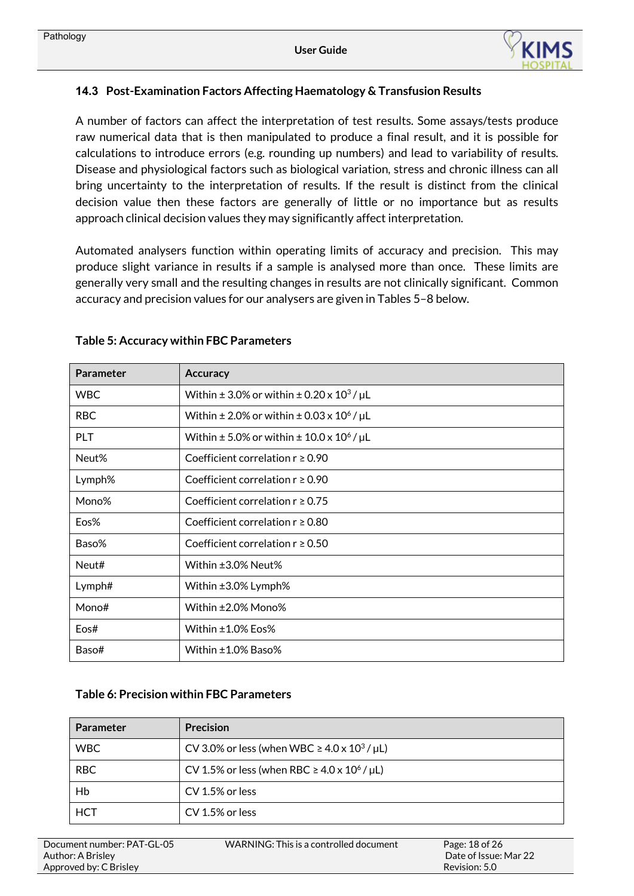

## <span id="page-17-0"></span>**14.3 Post-Examination Factors Affecting Haematology & Transfusion Results**

A number of factors can affect the interpretation of test results. Some assays/tests produce raw numerical data that is then manipulated to produce a final result, and it is possible for calculations to introduce errors (e.g. rounding up numbers) and lead to variability of results. Disease and physiological factors such as biological variation, stress and chronic illness can all bring uncertainty to the interpretation of results. If the result is distinct from the clinical decision value then these factors are generally of little or no importance but as results approach clinical decision values they may significantly affect interpretation.

Automated analysers function within operating limits of accuracy and precision. This may produce slight variance in results if a sample is analysed more than once. These limits are generally very small and the resulting changes in results are not clinically significant. Common accuracy and precision values for our analysers are given in Tables 5–8 below.

| <b>Parameter</b> | <b>Accuracy</b>                                               |
|------------------|---------------------------------------------------------------|
| <b>WBC</b>       | Within $\pm$ 3.0% or within $\pm$ 0.20 x 10 <sup>3</sup> / µL |
| <b>RBC</b>       | Within $\pm 2.0\%$ or within $\pm 0.03 \times 10^6$ / µL      |
| PLT              | Within $\pm$ 5.0% or within $\pm$ 10.0 x 10 <sup>6</sup> / µL |
| Neut%            | Coefficient correlation $r \ge 0.90$                          |
| Lymph%           | Coefficient correlation $r \ge 0.90$                          |
| Mono%            | Coefficient correlation $r \ge 0.75$                          |
| Eos%             | Coefficient correlation $r \geq 0.80$                         |
| Baso%            | Coefficient correlation $r \geq 0.50$                         |
| Neut#            | Within ±3.0% Neut%                                            |
| Lymph#           | Within ±3.0% Lymph%                                           |
| Mono#            | Within ±2.0% Mono%                                            |
| Eos#             | Within ±1.0% Eos%                                             |
| Baso#            | Within $\pm 1.0\%$ Baso $\%$                                  |

#### **Table 5: Accuracy within FBC Parameters**

#### **Table 6: Precision within FBC Parameters**

| Parameter  | <b>Precision</b>                                             |
|------------|--------------------------------------------------------------|
| <b>WBC</b> | CV 3.0% or less (when WBC $\geq$ 4.0 x 10 <sup>3</sup> / µL) |
| <b>RBC</b> | CV 1.5% or less (when RBC $\geq$ 4.0 x 10 <sup>6</sup> / µL) |
| Hb         | CV 1.5% or less                                              |
| <b>HCT</b> | CV 1.5% or less                                              |

| Document number: PAT-GL-05 | WARNING: This is a |
|----------------------------|--------------------|
| Author: A Brisley          |                    |
| Approved by: C Brisley     |                    |

a controlled document Page: 18 of 26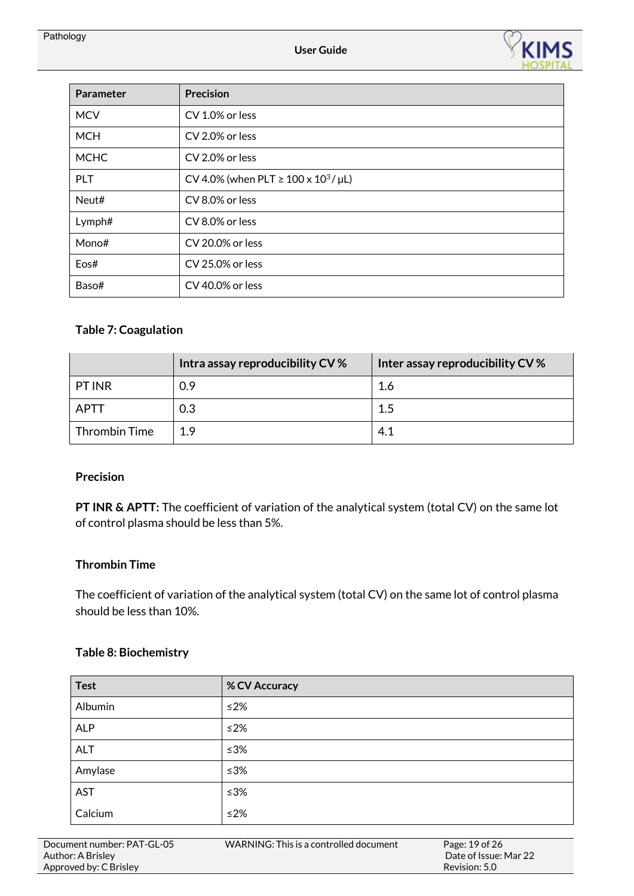

| Parameter   | <b>Precision</b>                               |
|-------------|------------------------------------------------|
| <b>MCV</b>  | CV 1.0% or less                                |
| <b>MCH</b>  | CV 2.0% or less                                |
| <b>MCHC</b> | CV 2.0% or less                                |
| <b>PLT</b>  | CV 4.0% (when PLT $\geq 100 \times 10^3$ / µL) |
| Neut#       | CV 8.0% or less                                |
| Lymph#      | CV 8.0% or less                                |
| Mono#       | CV 20.0% or less                               |
| Eos#        | CV 25.0% or less                               |
| Baso#       | CV 40.0% or less                               |

## **Table 7: Coagulation**

|                      | Intra assay reproducibility CV % | Inter assay reproducibility CV % |
|----------------------|----------------------------------|----------------------------------|
| <b>PT INR</b>        | 0.9                              | 1.6                              |
| APTT                 | 0.3                              | 1.5                              |
| <b>Thrombin Time</b> | 19                               | 4.1                              |

## **Precision**

**PT INR & APTT:** The coefficient of variation of the analytical system (total CV) on the same lot of control plasma should be less than 5%.

#### **Thrombin Time**

The coefficient of variation of the analytical system (total CV) on the same lot of control plasma should be less than 10%.

#### **Table 8: Biochemistry**

| <b>Test</b> | % CV Accuracy |
|-------------|---------------|
| Albumin     | ≤ $2%$        |
| <b>ALP</b>  | ≤2%           |
| <b>ALT</b>  | ≤3%           |
| Amylase     | ≤3%           |
| <b>AST</b>  | ≤3%           |
| Calcium     | ≤2%           |

| Document number: PAT-GL-05 | WARNING: This is a controlled document | Page: 19 of 26        |
|----------------------------|----------------------------------------|-----------------------|
| Author: A Brisley          |                                        | Date of Issue: Mar 22 |
| Approved by: C Brisley     |                                        | Revision: 5.0         |
|                            |                                        |                       |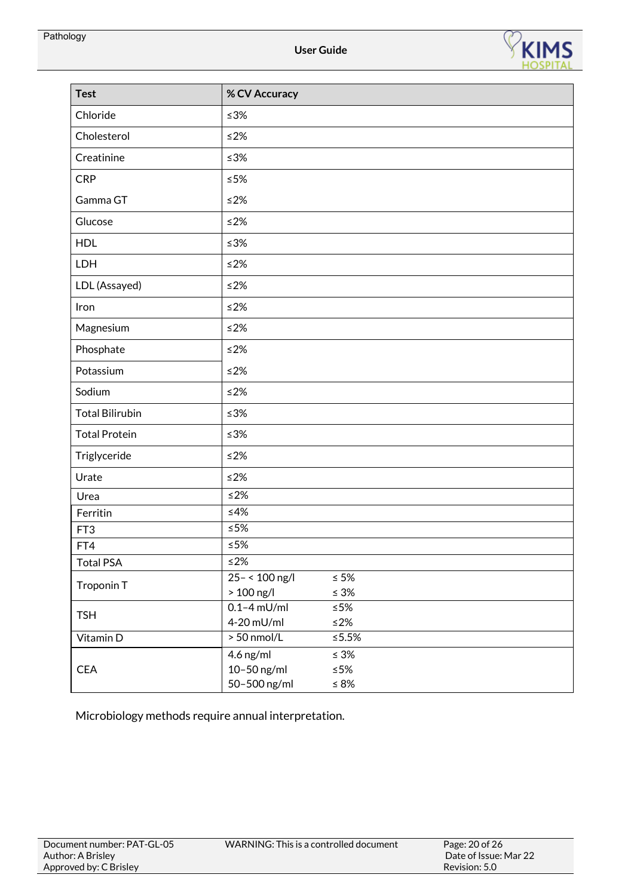

| <b>Test</b>            | % CV Accuracy   |             |
|------------------------|-----------------|-------------|
| Chloride               | $\leq 3\%$      |             |
| Cholesterol            | $≤2%$           |             |
| Creatinine             | $≤3%$           |             |
| <b>CRP</b>             | $≤5%$           |             |
| Gamma GT               | $\leq$ 2%       |             |
| Glucose                | $≤2%$           |             |
| <b>HDL</b>             | $\leq 3\%$      |             |
| LDH                    | $\leq$ 2%       |             |
| LDL (Assayed)          | $≤2%$           |             |
| Iron                   | $≤2%$           |             |
| Magnesium              | $\leq$ 2%       |             |
| Phosphate              | $≤2%$           |             |
| Potassium              | $≤2%$           |             |
| Sodium                 | $\leq$ 2%       |             |
| <b>Total Bilirubin</b> | $\leq 3\%$      |             |
| <b>Total Protein</b>   | $\leq 3\%$      |             |
| Triglyceride           | $\leq$ 2%       |             |
| Urate                  | $\leq$ 2%       |             |
| Urea                   | $\leq$ 2%       |             |
| Ferritin               | $\leq 4\%$      |             |
| FT <sub>3</sub>        | $\leq 5\%$      |             |
| FT4                    | $\leq 5\%$      |             |
| <b>Total PSA</b>       | $\leq$ 2%       |             |
| Troponin T             | $25 - 100$ ng/l | $\leq 5\%$  |
|                        | $>100$ ng/l     | $\leq 3\%$  |
| <b>TSH</b>             | $0.1 - 4$ mU/ml | ${\leq}5\%$ |
|                        | 4-20 mU/ml      | $\leq$ 2%   |
| Vitamin D              | $> 50$ nmol/L   | ≤5.5%       |
|                        | 4.6 ng/ml       | $\leq 3\%$  |
| <b>CEA</b>             | 10-50 ng/ml     | ${\leq}5\%$ |
|                        | 50-500 ng/ml    | $\leq 8\%$  |

Microbiology methods require annual interpretation.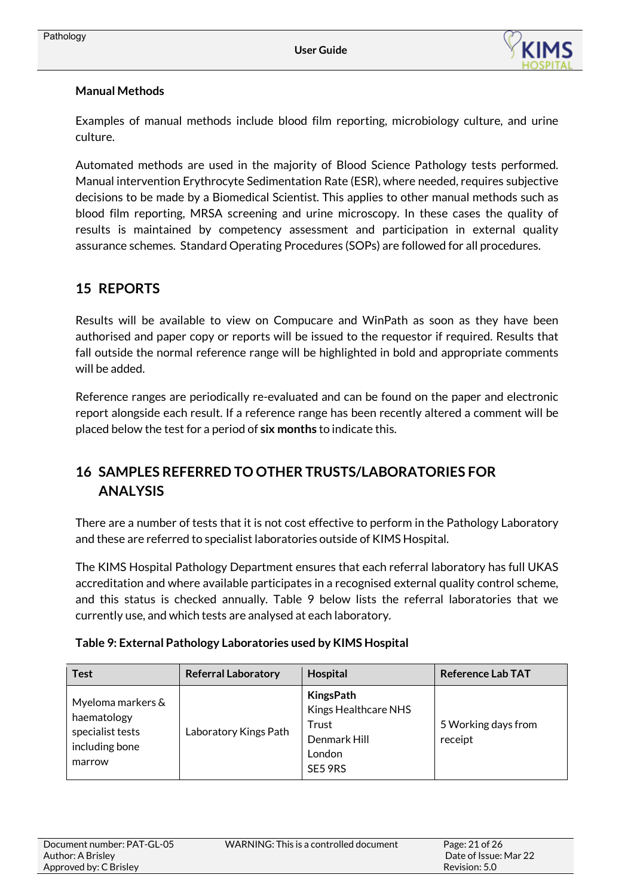

## **Manual Methods**

Examples of manual methods include blood film reporting, microbiology culture, and urine culture.

Automated methods are used in the majority of Blood Science Pathology tests performed. Manual intervention Erythrocyte Sedimentation Rate (ESR), where needed, requires subjective decisions to be made by a Biomedical Scientist. This applies to other manual methods such as blood film reporting, MRSA screening and urine microscopy. In these cases the quality of results is maintained by competency assessment and participation in external quality assurance schemes. Standard Operating Procedures (SOPs) are followed for all procedures.

## <span id="page-20-0"></span>**15 REPORTS**

Results will be available to view on Compucare and WinPath as soon as they have been authorised and paper copy or reports will be issued to the requestor if required. Results that fall outside the normal reference range will be highlighted in bold and appropriate comments will be added.

Reference ranges are periodically re-evaluated and can be found on the paper and electronic report alongside each result. If a reference range has been recently altered a comment will be placed below the test for a period of **six months** to indicate this.

# <span id="page-20-1"></span>**16 SAMPLES REFERRED TO OTHER TRUSTS/LABORATORIES FOR ANALYSIS**

There are a number of tests that it is not cost effective to perform in the Pathology Laboratory and these are referred to specialist laboratories outside of KIMS Hospital.

The KIMS Hospital Pathology Department ensures that each referral laboratory has full UKAS accreditation and where available participates in a recognised external quality control scheme, and this status is checked annually. Table 9 below lists the referral laboratories that we currently use, and which tests are analysed at each laboratory.

| <b>Test</b>                                                                      | <b>Referral Laboratory</b> | Hospital                                                                               | <b>Reference Lab TAT</b>       |
|----------------------------------------------------------------------------------|----------------------------|----------------------------------------------------------------------------------------|--------------------------------|
| Myeloma markers &<br>haematology<br>specialist tests<br>including bone<br>marrow | Laboratory Kings Path      | <b>KingsPath</b><br>Kings Healthcare NHS<br>Trust<br>Denmark Hill<br>London<br>SE5 9RS | 5 Working days from<br>receipt |

## **Table 9: External Pathology Laboratories used by KIMS Hospital**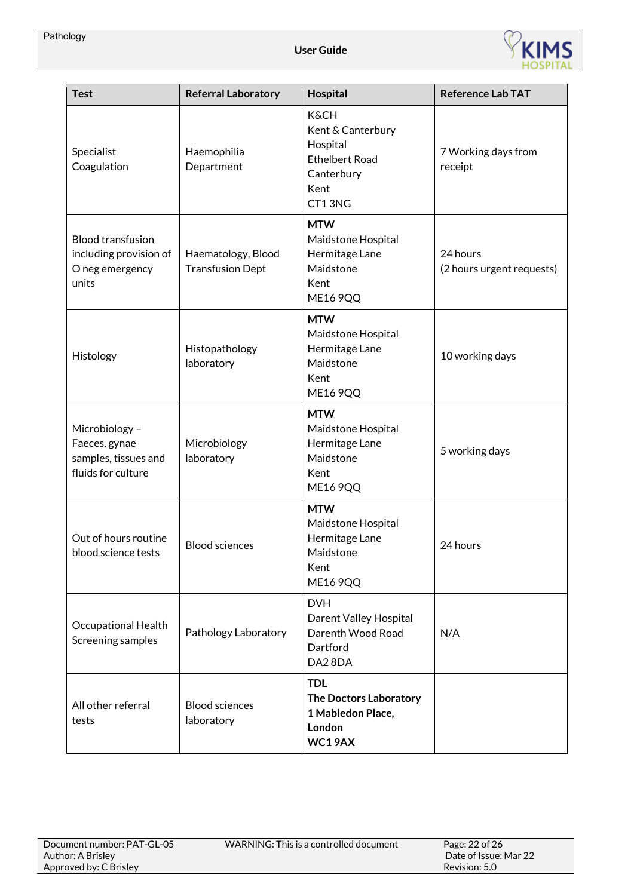

| <b>Test</b>                                                                    | <b>Referral Laboratory</b>                    | Hospital                                                                                                  | <b>Reference Lab TAT</b>              |
|--------------------------------------------------------------------------------|-----------------------------------------------|-----------------------------------------------------------------------------------------------------------|---------------------------------------|
| Specialist<br>Coagulation                                                      | Haemophilia<br>Department                     | <b>K&amp;CH</b><br>Kent & Canterbury<br>Hospital<br><b>Ethelbert Road</b><br>Canterbury<br>Kent<br>CT13NG | 7 Working days from<br>receipt        |
| <b>Blood transfusion</b><br>including provision of<br>O neg emergency<br>units | Haematology, Blood<br><b>Transfusion Dept</b> | <b>MTW</b><br>Maidstone Hospital<br>Hermitage Lane<br>Maidstone<br>Kent<br><b>ME16 9QQ</b>                | 24 hours<br>(2 hours urgent requests) |
| Histology                                                                      | Histopathology<br>laboratory                  | <b>MTW</b><br>Maidstone Hospital<br>Hermitage Lane<br>Maidstone<br>Kent<br><b>ME16 9QQ</b>                | 10 working days                       |
| Microbiology -<br>Faeces, gynae<br>samples, tissues and<br>fluids for culture  | Microbiology<br>laboratory                    | <b>MTW</b><br>Maidstone Hospital<br>Hermitage Lane<br>Maidstone<br>Kent<br><b>ME16 9QQ</b>                | 5 working days                        |
| Out of hours routine<br>blood science tests                                    | <b>Blood sciences</b>                         | <b>MTW</b><br>Maidstone Hospital<br>Hermitage Lane<br>Maidstone<br>Kent<br><b>ME16 9QQ</b>                | 24 hours                              |
| <b>Occupational Health</b><br>Screening samples                                | Pathology Laboratory                          | <b>DVH</b><br>Darent Valley Hospital<br>Darenth Wood Road<br>Dartford<br>DA28DA                           | N/A                                   |
| All other referral<br>tests                                                    | <b>Blood sciences</b><br>laboratory           | <b>TDL</b><br><b>The Doctors Laboratory</b><br>1 Mabledon Place,<br>London<br>WC19AX                      |                                       |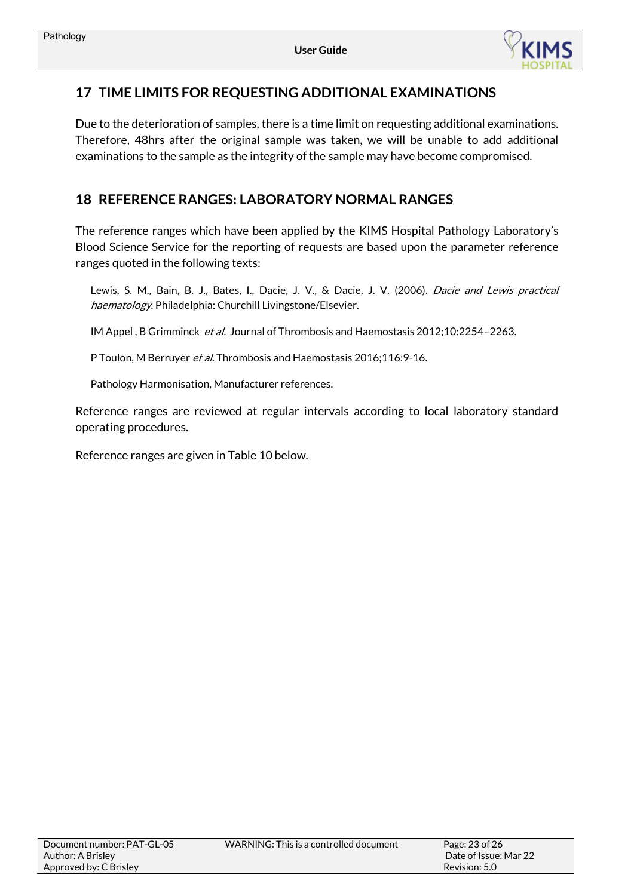

## <span id="page-22-0"></span>**17 TIME LIMITS FOR REQUESTING ADDITIONAL EXAMINATIONS**

Due to the deterioration of samples, there is a time limit on requesting additional examinations. Therefore, 48hrs after the original sample was taken, we will be unable to add additional examinations to the sample as the integrity of the sample may have become compromised.

## <span id="page-22-2"></span><span id="page-22-1"></span>**18 REFERENCE RANGES: LABORATORY NORMAL RANGES**

The reference ranges which have been applied by the KIMS Hospital Pathology Laboratory's Blood Science Service for the reporting of requests are based upon the parameter reference ranges quoted in the following texts:

Lewis, S. M., Bain, B. J., Bates, I., Dacie, J. V., & Dacie, J. V. (2006). Dacie and Lewis practical haematology. Philadelphia: Churchill Livingstone/Elsevier.

IM Appel, B Grimminck et al. Journal of Thrombosis and Haemostasis 2012;10:2254-2263.

P Toulon, M Berruyer *et al.* Thrombosis and Haemostasis 2016;116:9-16.

Pathology Harmonisation, Manufacturer references.

Reference ranges are reviewed at regular intervals according to local laboratory standard operating procedures.

Reference ranges are given in Table 10 below.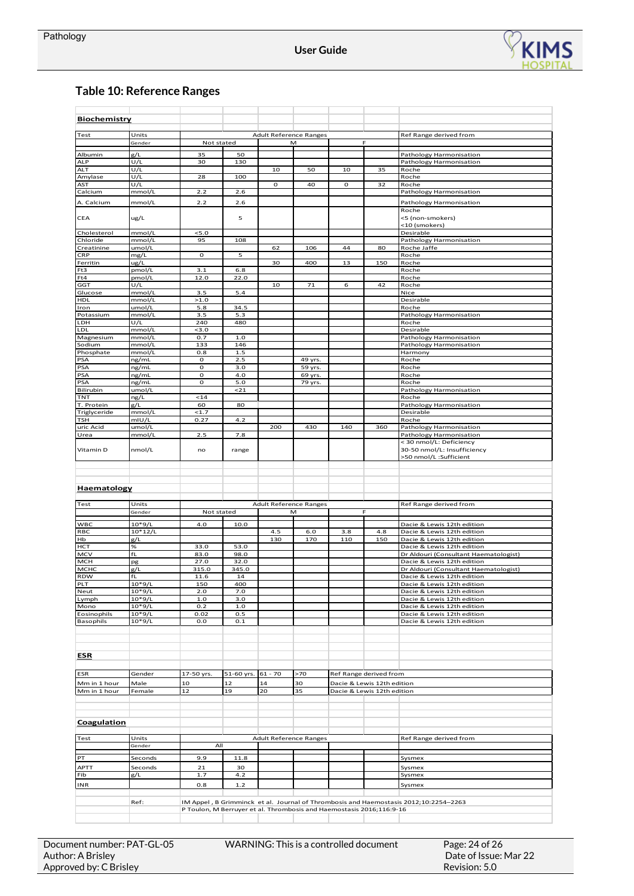

## **Table 10: Reference Ranges**

| <b>Biochemistry</b>      |                       |                                                                      |                                                       |             |                               |              |                            |                                                                                      |
|--------------------------|-----------------------|----------------------------------------------------------------------|-------------------------------------------------------|-------------|-------------------------------|--------------|----------------------------|--------------------------------------------------------------------------------------|
|                          |                       |                                                                      |                                                       |             |                               |              |                            |                                                                                      |
| Test                     | Units                 |                                                                      | <b>Adult Reference Ranges</b><br>Not stated<br>F<br>М |             | Ref Range derived from        |              |                            |                                                                                      |
|                          | Gender                |                                                                      |                                                       |             |                               |              |                            |                                                                                      |
| Albumin                  | g/L                   | 35                                                                   | 50                                                    |             |                               |              |                            | Pathology Harmonisation                                                              |
| <b>ALP</b><br><b>ALT</b> | U/L<br>U/L            | 30                                                                   | 130                                                   | 10          | 50                            | 10           | 35                         | Pathology Harmonisation<br>Roche                                                     |
| Amylase                  | U/L                   | 28                                                                   | 100                                                   |             |                               |              |                            | Roche                                                                                |
| AST                      | U/L                   |                                                                      |                                                       | $\mathbf 0$ | 40                            | $\mathbf{o}$ | 32                         | Roche                                                                                |
| Calcium                  | mmol/L                | 2.2                                                                  | 2.6                                                   |             |                               |              |                            | Pathology Harmonisation                                                              |
| A. Calcium               | mmol/L                | 2.2                                                                  | 2.6                                                   |             |                               |              |                            | Pathology Harmonisation                                                              |
| CEA                      | ug/L                  |                                                                      | 5                                                     |             |                               |              |                            | Roche<br><5 (non-smokers)<br><10 (smokers)                                           |
| Cholesterol              | mmol/L                | 5.0                                                                  |                                                       |             |                               |              |                            | Desirable                                                                            |
| Chloride                 | mmol/L                | 95                                                                   | 108                                                   |             |                               |              |                            | Pathology Harmonisation                                                              |
| Creatinine               | umol/L                |                                                                      |                                                       | 62          | 106                           | 44           | 80                         | Roche Jaffe                                                                          |
| CRP<br>Ferritin          | mg/L<br>ug/L          | $\mathbf{o}$                                                         | 5                                                     | 30          | 400                           | 13           | 150                        | Roche<br>Roche                                                                       |
| Ft3                      | pmol/L                | 3.1                                                                  | 6.8                                                   |             |                               |              |                            | Roche                                                                                |
| Ft4                      | pmol/L                | 12.0                                                                 | 22.0                                                  |             |                               |              |                            | Roche                                                                                |
| GGT                      | U/L                   |                                                                      |                                                       | 10          | ${\bf 71}$                    | 6            | 42                         | Roche                                                                                |
| Glucose<br><b>HDL</b>    | mmol/L<br>mmol/L      | 3.5<br>>1.0                                                          | 5.4                                                   |             |                               |              |                            | Nice<br>Desirable                                                                    |
| Iron                     | umol/L                | 5.8                                                                  | 34.5                                                  |             |                               |              |                            | Roche                                                                                |
| Potassium                | mmol/L                | 3.5                                                                  | 5.3                                                   |             |                               |              |                            | Pathology Harmonisation                                                              |
| LDH                      | U/L                   | 240                                                                  | 480                                                   |             |                               |              |                            | Roche                                                                                |
| LDL                      | mmol/L<br>mmol/L      | $3.0$<br>0.7                                                         | 1.0                                                   |             |                               |              |                            | Desirable<br>Pathology Harmonisation                                                 |
| Magnesium<br>Sodium      | mmol/L                | 133                                                                  | 146                                                   |             |                               |              |                            | Pathology Harmonisation                                                              |
| Phosphate                | mmol/L                | 0.8                                                                  | $1.5$                                                 |             |                               |              |                            | Harmony                                                                              |
| PSA                      | ng/mL                 | o                                                                    | 2.5                                                   |             | 49 yrs.                       |              |                            | Roche                                                                                |
| PSA                      | ng/mL                 | $\mathbf{o}$                                                         | 3.0                                                   |             | 59 yrs.                       |              |                            | Roche                                                                                |
| PSA<br>PSA               | ng/mL<br>ng/mL        | o<br>o                                                               | 4.0<br>5.0                                            |             | 69 yrs.<br>79 yrs.            |              |                            | Roche<br>Roche                                                                       |
| Bilirubin                | umol/L                |                                                                      | 21                                                    |             |                               |              |                            | Pathology Harmonisation                                                              |
| TNT                      | ng/L                  | 14                                                                   |                                                       |             |                               |              |                            | Roche                                                                                |
| T. Protein               | g/L                   | 60                                                                   | 80                                                    |             |                               |              |                            | Pathology Harmonisation                                                              |
| Triglyceride<br>TSH      | mmol/L<br>mIU/L       | 1.7<br>0.27                                                          | 4.2                                                   |             |                               |              |                            | Desirable<br>Roche                                                                   |
| uric Acid                | umol/L                |                                                                      |                                                       | 200         | 430                           | 140          | 360                        | Pathology Harmonisation                                                              |
| Urea                     | mmol/L                | 2.5                                                                  | 7.8                                                   |             |                               |              |                            | Pathology Harmonisation                                                              |
|                          |                       |                                                                      |                                                       |             |                               |              |                            | < 30 nmol/L: Deficiency                                                              |
| Vitamin D                | nmol/L                | no                                                                   | range                                                 |             |                               |              |                            | 30-50 nmol/L: Insufficiency<br>>50 nmol/L :Sufficient                                |
|                          |                       |                                                                      |                                                       |             |                               |              |                            |                                                                                      |
|                          |                       |                                                                      |                                                       |             |                               |              |                            |                                                                                      |
|                          |                       |                                                                      |                                                       |             |                               |              |                            |                                                                                      |
| Haematology              |                       |                                                                      |                                                       |             |                               |              |                            |                                                                                      |
| Test                     | Units                 |                                                                      |                                                       |             | <b>Adult Reference Ranges</b> |              |                            | Ref Range derived from                                                               |
|                          | Gender                | Not stated                                                           |                                                       |             | M                             |              | F                          |                                                                                      |
|                          |                       |                                                                      |                                                       |             |                               |              |                            |                                                                                      |
| <b>WBC</b><br>RBC        | $10*9/L$<br>$10*12/L$ | 4.0                                                                  | 10.0                                                  | 4.5         | $6.0$                         | 3.8          | 4.8                        | Dacie & Lewis 12th edition<br>Dacie & Lewis 12th edition                             |
| Hb                       | g/L                   |                                                                      |                                                       | 130         | 170                           | 110          | 150                        | Dacie & Lewis 12th edition                                                           |
| нст                      | $\%$                  | 33.0                                                                 | 53.0                                                  |             |                               |              |                            | Dacie & Lewis 12th edition                                                           |
| MCV                      | fL                    | 83.0                                                                 | 98.0                                                  |             |                               |              |                            | Dr Aldouri (Consultant Haematologist)                                                |
| <b>MCH</b><br>мснс       | pg                    | 27.0                                                                 | 32.0<br>345.0                                         |             |                               |              |                            | Dacie & Lewis 12th edition<br>Dr Aldouri (Consultant Haematologist)                  |
| <b>RDW</b>               | g/L<br>fL             | 315.0<br>11.6                                                        | 14                                                    |             |                               |              |                            | Dacie & Lewis 12th edition                                                           |
| PLT                      | $10*9/L$              | 150                                                                  | 400                                                   |             |                               |              |                            | Dacie & Lewis 12th editior                                                           |
| Neut                     | $10*9/L$              | $2.0$                                                                | 7.0                                                   |             |                               |              |                            | Dacie & Lewis 12th edition                                                           |
| Lymph                    | $10*9/L$              | 1.0                                                                  | 3.0                                                   |             |                               |              |                            | Dacie & Lewis 12th edition                                                           |
| Mono<br>Eosinophils      | $10*9/L$<br>$10*9/L$  | 0.2<br>0.02                                                          | 1.0<br>0.5                                            |             |                               |              |                            | Dacie & Lewis 12th edition<br>Dacie & Lewis 12th edition                             |
| Basophils                | $10*9/L$              | 0.0                                                                  | 0.1                                                   |             |                               |              |                            | Dacie & Lewis 12th edition                                                           |
|                          |                       |                                                                      |                                                       |             |                               |              |                            |                                                                                      |
|                          |                       |                                                                      |                                                       |             |                               |              |                            |                                                                                      |
| <u>ESR</u>               |                       |                                                                      |                                                       |             |                               |              |                            |                                                                                      |
| ESR                      | Gender                | 17-50 yrs.                                                           | 51-60 yrs.                                            | $61 - 70$   | >70                           |              | Ref Range derived from     |                                                                                      |
| Mm in 1 hour             | Male                  | 10                                                                   | 12                                                    | 14          | 30                            |              | Dacie & Lewis 12th edition |                                                                                      |
| Mm in 1 hour             | Female                | ${\bf 12}$                                                           | 19                                                    | 20          | 35                            |              | Dacie & Lewis 12th edition |                                                                                      |
|                          |                       |                                                                      |                                                       |             |                               |              |                            |                                                                                      |
| <b>Coagulation</b>       |                       |                                                                      |                                                       |             |                               |              |                            |                                                                                      |
|                          |                       |                                                                      |                                                       |             |                               |              |                            |                                                                                      |
| Test                     | Units                 | All                                                                  |                                                       |             | <b>Adult Reference Ranges</b> |              |                            | Ref Range derived from                                                               |
|                          | Gender                |                                                                      |                                                       |             |                               |              |                            |                                                                                      |
| PT                       | Seconds               | 9.9                                                                  | 11.8                                                  |             |                               |              |                            | Sysmex                                                                               |
| APTT                     | Seconds               | 21                                                                   | 30                                                    |             |                               |              |                            | Sysmex                                                                               |
| Fib                      | g/L                   | 1.7                                                                  | 4.2                                                   |             |                               |              |                            | Sysmex                                                                               |
| <b>INR</b>               |                       | 0.8                                                                  | $1.2$                                                 |             |                               |              |                            | Sysmex                                                                               |
|                          |                       |                                                                      |                                                       |             |                               |              |                            |                                                                                      |
|                          | Ref:                  | P Toulon, M Berruyer et al. Thrombosis and Haemostasis 2016;116:9-16 |                                                       |             |                               |              |                            | IM Appel, B Grimminck et al. Journal of Thrombosis and Haemostasis 2012;10:2254-2263 |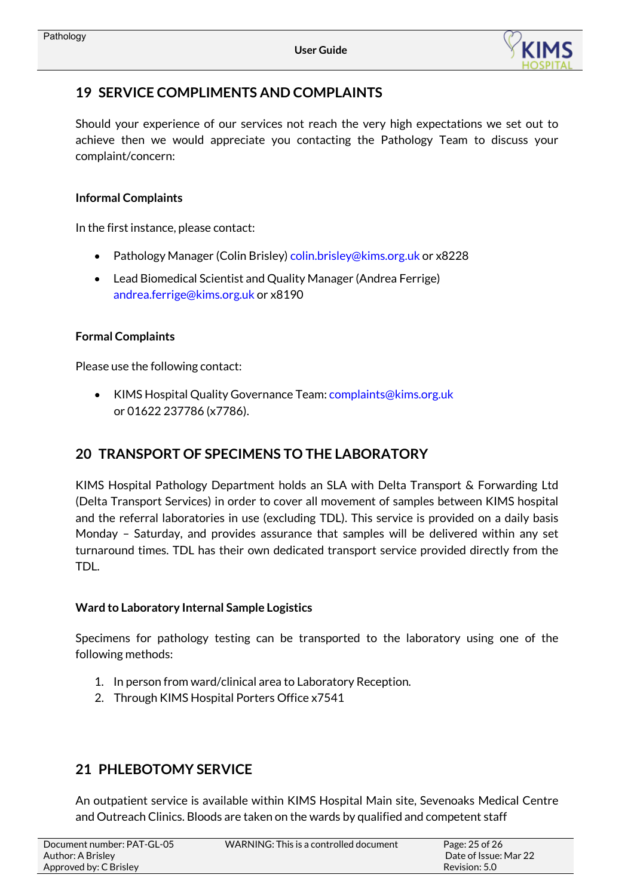

# <span id="page-24-0"></span>**19 SERVICE COMPLIMENTS AND COMPLAINTS**

Should your experience of our services not reach the very high expectations we set out to achieve then we would appreciate you contacting the Pathology Team to discuss your complaint/concern:

## **Informal Complaints**

In the first instance, please contact:

- Pathology Manager (Colin Brisley[\) colin.brisley@kims.org.uk](mailto:colin.brisley@kims.org.uk) or x8228
- Lead Biomedical Scientist and Quality Manager (Andrea Ferrige) [andrea.ferrige@kims.org.uk](mailto:andrea.ferrige@kims.org.uk) or x8190

## **Formal Complaints**

Please use the following contact:

• KIMS Hospital Quality Governance Team[: complaints@kims.org.uk](mailto:complaints@kims.org.uk) or 01622 237786 (x7786).

# <span id="page-24-1"></span>**20 TRANSPORT OF SPECIMENS TO THE LABORATORY**

KIMS Hospital Pathology Department holds an SLA with Delta Transport & Forwarding Ltd (Delta Transport Services) in order to cover all movement of samples between KIMS hospital and the referral laboratories in use (excluding TDL). This service is provided on a daily basis Monday – Saturday, and provides assurance that samples will be delivered within any set turnaround times. TDL has their own dedicated transport service provided directly from the TDL.

## **Ward to Laboratory Internal Sample Logistics**

Specimens for pathology testing can be transported to the laboratory using one of the following methods:

- 1. In person from ward/clinical area to Laboratory Reception.
- 2. Through KIMS Hospital Porters Office x7541

# <span id="page-24-2"></span>**21 PHLEBOTOMY SERVICE**

An outpatient service is available within KIMS Hospital Main site, Sevenoaks Medical Centre and Outreach Clinics. Bloods are taken on the wards by qualified and competent staff

| Document number: PAT-GL-05 | WARNING: This is a controlled document | Page: 25 of 26        |
|----------------------------|----------------------------------------|-----------------------|
| Author: A Brisley          |                                        | Date of Issue: Mar 22 |
| Approved by: C Brisley     |                                        | Revision: 5.0         |